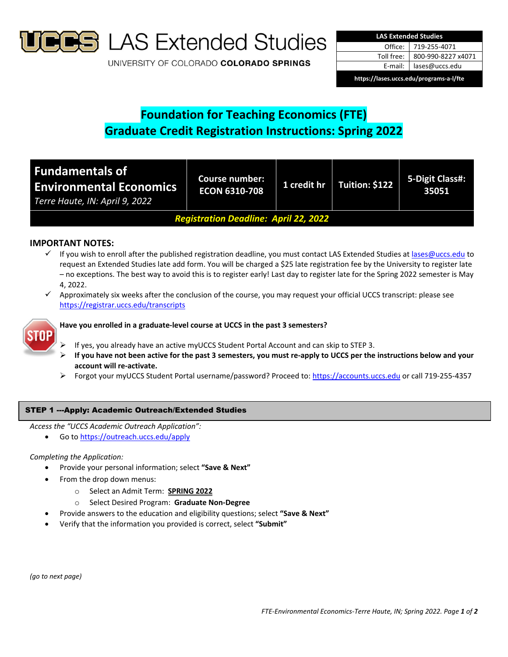

**S** LAS Extended Studies

UNIVERSITY OF COLORADO COLORADO SPRINGS

| <b>LAS Extended Studies</b>             |                    |  |  |  |
|-----------------------------------------|--------------------|--|--|--|
| Office: I                               | 719-255-4071       |  |  |  |
| Toll free:                              | 800-990-8227 x4071 |  |  |  |
| E-mail: I                               | lases@uccs.edu     |  |  |  |
| https://lases.uccs.edu/programs-a-l/fte |                    |  |  |  |

# **Foundation for Teaching Economics (FTE) Graduate Credit Registration Instructions: Spring 2022**

| Fundamentals of<br><b>Environmental Economics</b><br>Terre Haute, IN: April 9, 2022 | Course number:<br><b>ECON 6310-708</b> | 1 credit hr | Tuition: \$122 | 5-Digit Class#:<br>35051 |  |
|-------------------------------------------------------------------------------------|----------------------------------------|-------------|----------------|--------------------------|--|
| <b>Registration Deadline: April 22, 2022</b>                                        |                                        |             |                |                          |  |

# **IMPORTANT NOTES:**

- $\checkmark$  If you wish to enroll after the published registration deadline, you must contact LAS Extended Studies at lases@uccs.edu to request an Extended Studies late add form. You will be charged a \$25 late registration fee by the University to register late – no exceptions. The best way to avoid this is to register early! Last day to register late for the Spring 2022 semester is May 4, 2022.
- $\checkmark$  Approximately six weeks after the conclusion of the course, you may request your official UCCS transcript: please see https://registrar.uccs.edu/transcripts



## **Have you enrolled in a graduate‐level course at UCCS in the past 3 semesters?**

- If yes, you already have an active myUCCS Student Portal Account and can skip to STEP 3.
- If you have not been active for the past 3 semesters, you must re-apply to UCCS per the instructions below and your **account will re‐activate.**
- Forgot your myUCCS Student Portal username/password? Proceed to: https://accounts.uccs.edu or call 719‐255‐4357

## STEP 1 ---Apply: Academic Outreach/Extended Studies

*Access the "UCCS Academic Outreach Application":*

Go to https://outreach.uccs.edu/apply

## *Completing the Application:*

- Provide your personal information; select **"Save & Next"**
- From the drop down menus:
	- o Select an Admit Term: **SPRING 2022**
	- o Select Desired Program: **Graduate Non‐Degree**
- Provide answers to the education and eligibility questions; select **"Save & Next"**
- Verify that the information you provided is correct, select **"Submit"**

*(go to next page)*